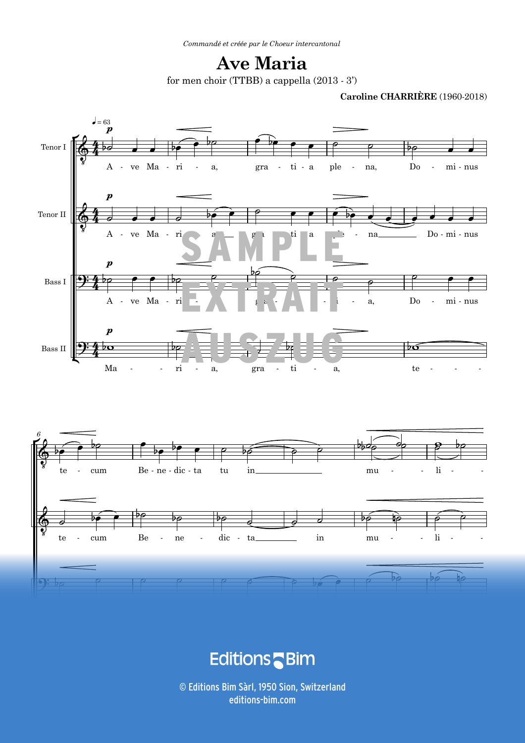## **Ave Maria** for men choir (TTBB) a cappella (2013 - 3')

**Caroline CHARRIÈRE** (1960-2018)



**Exercífico de Santo Caractería de Santo Caractería de Santo Caractería de Santo Caractería de Santo Caracterí**<br>Externa de Santo Caractería de Santo Caractería de Santo Caractería de Santo Caractería de Santo Caractería de - - - - - - - - cum Be ne dic ta tu in mu limit and the turn of the turn of the turn of the turn of the turn of turn of turn o

 $\odot$  Editions Bim Sàrl, 1950 Sion, Switzerland ALL RIGHTS RESERVED - TOUS DROITS RÉSERVÉS - ALLE RECHTE VORBEHALTEN V119 3 editions-bim.com